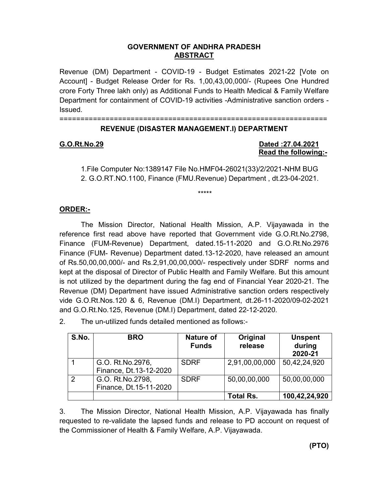## **GOVERNMENT OF ANDHRA PRADESH ABSTRACT**

Revenue (DM) Department - COVID-19 - Budget Estimates 2021-22 [Vote on Account] - Budget Release Order for Rs. 1,00,43,00,000/- (Rupees One Hundred crore Forty Three lakh only) as Additional Funds to Health Medical & Family Welfare Department for containment of COVID-19 activities -Administrative sanction orders - Issued.

================================================================

# **REVENUE (DISASTER MANAGEMENT.I) DEPARTMENT**

## **G.O.Rt.No.29 Dated :27.04.2021 Read the following:-**

1.File Computer No:1389147 File No.HMF04-26021(33)/2/2021-NHM BUG 2. G.O.RT.NO.1100, Finance (FMU.Revenue) Department , dt.23-04-2021.

\*\*\*\*\*

# **ORDER:-**

The Mission Director, National Health Mission, A.P. Vijayawada in the reference first read above have reported that Government vide G.O.Rt.No.2798, Finance (FUM-Revenue) Department, dated.15-11-2020 and G.O.Rt.No.2976 Finance (FUM- Revenue) Department dated.13-12-2020, have released an amount of Rs.50,00,00,000/- and Rs.2,91,00,00,000/- respectively under SDRF norms and kept at the disposal of Director of Public Health and Family Welfare. But this amount is not utilized by the department during the fag end of Financial Year 2020-21. The Revenue (DM) Department have issued Administrative sanction orders respectively vide G.O.Rt.Nos.120 & 6, Revenue (DM.I) Department, dt.26-11-2020/09-02-2021 and G.O.Rt.No.125, Revenue (DM.I) Department, dated 22-12-2020.

2. The un-utilized funds detailed mentioned as follows:-

| S.No.          | <b>BRO</b>                                 | <b>Nature of</b><br><b>Funds</b> | Original<br>release | <b>Unspent</b><br>during<br>2020-21 |
|----------------|--------------------------------------------|----------------------------------|---------------------|-------------------------------------|
|                | G.O. Rt.No.2976,<br>Finance, Dt.13-12-2020 | <b>SDRF</b>                      | 2,91,00,00,000      | 50,42,24,920                        |
| $\overline{2}$ | G.O. Rt.No.2798,<br>Finance, Dt.15-11-2020 | <b>SDRF</b>                      | 50,00,00,000        | 50,00,00,000                        |
|                |                                            |                                  | <b>Total Rs.</b>    | 100,42,24,920                       |

3. The Mission Director, National Health Mission, A.P. Vijayawada has finally requested to re-validate the lapsed funds and release to PD account on request of the Commissioner of Health & Family Welfare, A.P. Vijayawada.

**(PTO)**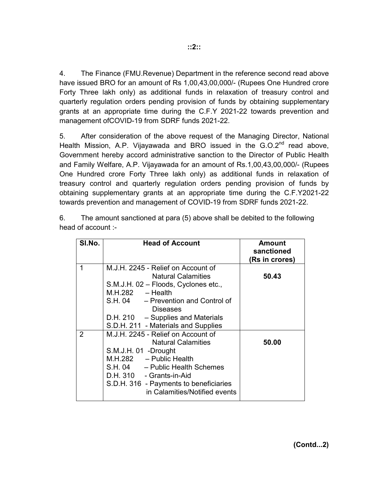4. The Finance (FMU.Revenue) Department in the reference second read above have issued BRO for an amount of Rs 1,00,43,00,000/- (Rupees One Hundred crore Forty Three lakh only) as additional funds in relaxation of treasury control and quarterly regulation orders pending provision of funds by obtaining supplementary grants at an appropriate time during the C.F.Y 2021-22 towards prevention and management ofCOVID-19 from SDRF funds 2021-22.

5. After consideration of the above request of the Managing Director, National Health Mission, A.P. Vijayawada and BRO issued in the G.O.2<sup>nd</sup> read above, Government hereby accord administrative sanction to the Director of Public Health and Family Welfare, A.P. Vijayawada for an amount of Rs.1,00,43,00,000/- (Rupees One Hundred crore Forty Three lakh only) as additional funds in relaxation of treasury control and quarterly regulation orders pending provision of funds by obtaining supplementary grants at an appropriate time during the C.F.Y2021-22 towards prevention and management of COVID-19 from SDRF funds 2021-22.

6. The amount sanctioned at para (5) above shall be debited to the following head of account :-

| SI.No.        | <b>Head of Account</b>                                                                                                                                                                                                                                              | Amount<br>sanctioned<br>(Rs in crores) |
|---------------|---------------------------------------------------------------------------------------------------------------------------------------------------------------------------------------------------------------------------------------------------------------------|----------------------------------------|
| 1             | M.J.H. 2245 - Relief on Account of<br><b>Natural Calamities</b><br>S.M.J.H. 02 - Floods, Cyclones etc.,<br>$M.H.282 - Health$<br>S.H. 04 - Prevention and Control of<br><b>Diseases</b><br>D.H. 210 - Supplies and Materials<br>S.D.H. 211 - Materials and Supplies | 50.43                                  |
| $\mathcal{P}$ | M.J.H. 2245 - Relief on Account of<br><b>Natural Calamities</b><br>S.M.J.H. 01 -Drought<br>M.H.282 - Public Health<br>S.H. 04 - Public Health Schemes<br>D.H. 310 - Grants-in-Aid<br>S.D.H. 316 - Payments to beneficiaries<br>in Calamities/Notified events        | 50.00                                  |